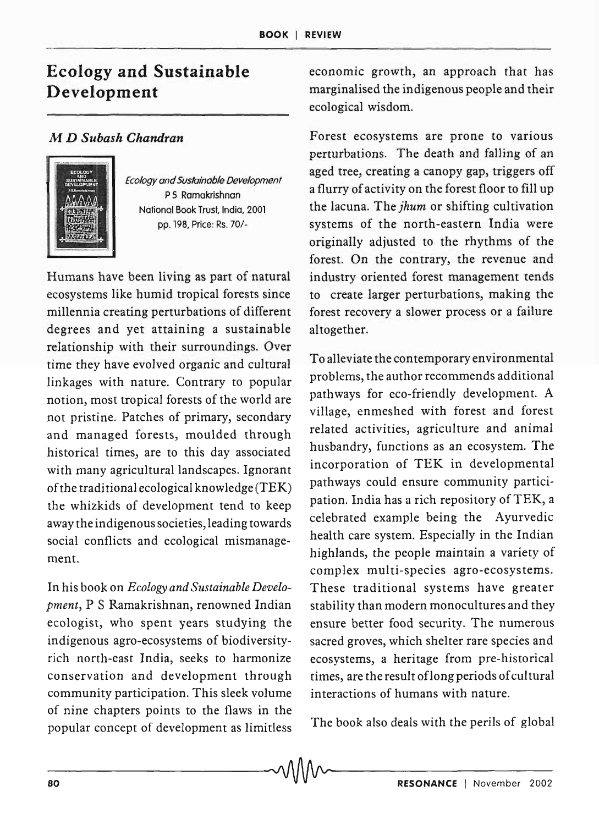## Ecology and Sustainable Development

## M *D Subash Chandran*



*Ecology and Sustainable Development*  P 5 Ramakrishnan National Book Trust, India, 2001 pp. 198, Price: Rs. 70/-

Humans have been living as part of natural ecosystems like humid tropical forests since millennia creating perturbations of different degrees and yet attaining a sustainable relationship with their surroundings. Over time they have evolved organic and cultural linkages with nature. Contrary to popular notion, most tropical forests of the world are not pristine. Patches of primary, secondary and managed forests, moulded through historical times, are to this day associated with many agricultural landscapes. Ignorant of the traditional ecological knowledge  $(TEK)$ the whizkids of development tend to keep away the indigenous societies, leading towards social conflicts and ecological mismanagement.

In his book on *Ecology and Sustainable Development,* P S Ramakrishnan, renowned Indian ecologist, who spent years studying the indigenous agro-ecosystems of biodiversityrich north-east India, seeks to harmonize conservation and development through community participation. This sleek volume of nine chapters points to the flaws in the popular concept of development as limitless The book also deals with the perils of global

economic growth, an approach that has marginalised the indigenous people and their ecological wisdom.

Forest ecosystems are prone to various perturbations. The death and falling of an aged tree, creating a canopy gap, triggers off a flurry of activity on the forest floor to fill up the lacuna. The *jhum* or shifting cultivation systems of the north-eastern India were originally adjusted to the rhythms of the forest. On the contrary, the revenue and industry oriented forest management tends to create larger perturbations, making the forest recovery a slower process or a failure altogether.

To alleviate the contemporary environmental problems, the author recommends additional pathways for eco-friendly development. A village, enmeshed with forest and forest related activities, agriculture and animal husbandry, functions as an ecosystem. The incorporation of TEK in developmental pathways could ensure community participation. India has a rich repository of TEK, a celebrated example being the Ayurvedic health care system. Especially in the Indian highlands, the people maintain a variety of complex multi-species agro-ecosystems. These traditional systems have greater stability than modern monocultures and they ensure better food security. The numerous sacred groves, which shelter rare species and ecosystems, a heritage from pre-historical times, are the result of long periods of cultural interactions of humans with nature.